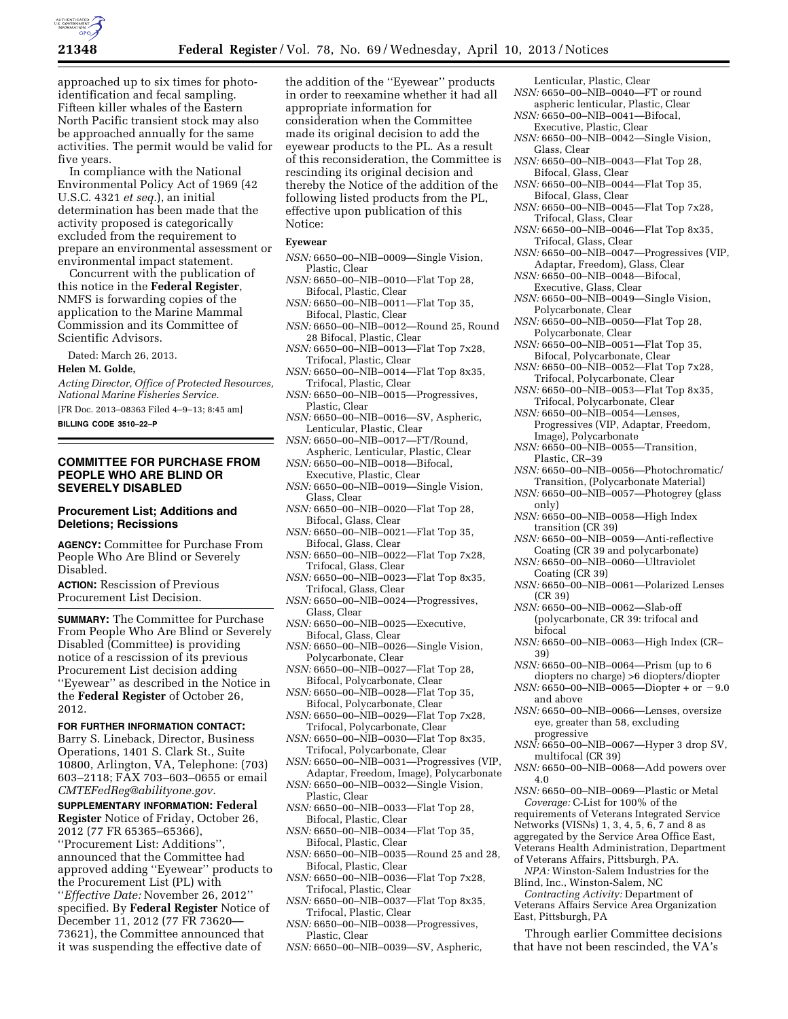

approached up to six times for photoidentification and fecal sampling. Fifteen killer whales of the Eastern North Pacific transient stock may also be approached annually for the same activities. The permit would be valid for five years.

In compliance with the National Environmental Policy Act of 1969 (42 U.S.C. 4321 *et seq.*), an initial determination has been made that the activity proposed is categorically excluded from the requirement to prepare an environmental assessment or environmental impact statement.

Concurrent with the publication of this notice in the **Federal Register**, NMFS is forwarding copies of the application to the Marine Mammal Commission and its Committee of Scientific Advisors.

Dated: March 26, 2013.

### **Helen M. Golde,**

*Acting Director, Office of Protected Resources, National Marine Fisheries Service.* 

[FR Doc. 2013–08363 Filed 4–9–13; 8:45 am]

### **BILLING CODE 3510–22–P**

# **COMMITTEE FOR PURCHASE FROM PEOPLE WHO ARE BLIND OR SEVERELY DISABLED**

# **Procurement List; Additions and Deletions; Recissions**

**AGENCY:** Committee for Purchase From People Who Are Blind or Severely Disabled.

**ACTION:** Rescission of Previous Procurement List Decision.

**SUMMARY:** The Committee for Purchase From People Who Are Blind or Severely Disabled (Committee) is providing notice of a rescission of its previous Procurement List decision adding ''Eyewear'' as described in the Notice in the **Federal Register** of October 26, 2012.

### **FOR FURTHER INFORMATION CONTACT:**

Barry S. Lineback, Director, Business Operations, 1401 S. Clark St., Suite 10800, Arlington, VA, Telephone: (703) 603–2118; FAX 703–603–0655 or email *[CMTEFedReg@abilityone.gov](mailto:CMTEFedReg@abilityone.gov)*.

**SUPPLEMENTARY INFORMATION: Federal Register** Notice of Friday, October 26, 2012 (77 FR 65365–65366), ''Procurement List: Additions'', announced that the Committee had approved adding ''Eyewear'' products to the Procurement List (PL) with ''*Effective Date:* November 26, 2012'' specified. By **Federal Register** Notice of December 11, 2012 (77 FR 73620— 73621), the Committee announced that it was suspending the effective date of

the addition of the ''Eyewear'' products in order to reexamine whether it had all appropriate information for consideration when the Committee made its original decision to add the eyewear products to the PL. As a result of this reconsideration, the Committee is rescinding its original decision and thereby the Notice of the addition of the following listed products from the PL, effective upon publication of this Notice:

#### **Eyewear**

- *NSN:* 6650–00–NIB–0009—Single Vision, Plastic, Clear
- *NSN:* 6650–00–NIB–0010—Flat Top 28, Bifocal, Plastic, Clear
- *NSN:* 6650–00–NIB–0011—Flat Top 35, Bifocal, Plastic, Clear
- *NSN:* 6650–00–NIB–0012—Round 25, Round 28 Bifocal, Plastic, Clear
- *NSN:* 6650–00–NIB–0013—Flat Top 7x28, Trifocal, Plastic, Clear
- *NSN:* 6650–00–NIB–0014—Flat Top 8x35, Trifocal, Plastic, Clear
- *NSN:* 6650–00–NIB–0015—Progressives, Plastic, Clear
- *NSN:* 6650–00–NIB–0016—SV, Aspheric, Lenticular, Plastic, Clear
- *NSN:* 6650–00–NIB–0017—FT/Round, Aspheric, Lenticular, Plastic, Clear
- *NSN:* 6650–00–NIB–0018—Bifocal, Executive, Plastic, Clear
- *NSN:* 6650–00–NIB–0019—Single Vision, Glass, Clear
- *NSN:* 6650–00–NIB–0020—Flat Top 28, Bifocal, Glass, Clear
- *NSN:* 6650–00–NIB–0021—Flat Top 35, Bifocal, Glass, Clear
- *NSN:* 6650–00–NIB–0022—Flat Top 7x28, Trifocal, Glass, Clear
- *NSN:* 6650–00–NIB–0023—Flat Top 8x35, Trifocal, Glass, Clear
- *NSN:* 6650–00–NIB–0024—Progressives, Glass, Clear
- *NSN:* 6650–00–NIB–0025—Executive, Bifocal, Glass, Clear
- *NSN:* 6650–00–NIB–0026—Single Vision, Polycarbonate, Clear
- *NSN:* 6650–00–NIB–0027—Flat Top 28, Bifocal, Polycarbonate, Clear
- *NSN:* 6650–00–NIB–0028—Flat Top 35, Bifocal, Polycarbonate, Clear
- *NSN:* 6650–00–NIB–0029—Flat Top 7x28, Trifocal, Polycarbonate, Clear
- *NSN:* 6650–00–NIB–0030—Flat Top 8x35, Trifocal, Polycarbonate, Clear
- *NSN:* 6650–00–NIB–0031—Progressives (VIP, Adaptar, Freedom, Image), Polycarbonate
- *NSN:* 6650–00–NIB–0032—Single Vision, Plastic, Clear
- *NSN:* 6650–00–NIB–0033—Flat Top 28, Bifocal, Plastic, Clear
- *NSN:* 6650–00–NIB–0034—Flat Top 35, Bifocal, Plastic, Clear
- *NSN:* 6650–00–NIB–0035—Round 25 and 28, Bifocal, Plastic, Clear
- *NSN:* 6650–00–NIB–0036—Flat Top 7x28, Trifocal, Plastic, Clear
- *NSN:* 6650–00–NIB–0037—Flat Top 8x35, Trifocal, Plastic, Clear
- *NSN:* 6650–00–NIB–0038—Progressives, Plastic, Clear
- *NSN:* 6650–00–NIB–0039—SV, Aspheric,

Lenticular, Plastic, Clear

- *NSN:* 6650–00–NIB–0040—FT or round aspheric lenticular, Plastic, Clear
- *NSN:* 6650–00–NIB–0041—Bifocal, Executive, Plastic, Clear
- *NSN:* 6650–00–NIB–0042—Single Vision, Glass, Clear
- *NSN:* 6650–00–NIB–0043—Flat Top 28, Bifocal, Glass, Clear
- *NSN:* 6650–00–NIB–0044—Flat Top 35, Bifocal, Glass, Clear
- *NSN:* 6650–00–NIB–0045—Flat Top 7x28, Trifocal, Glass, Clear
- *NSN:* 6650–00–NIB–0046—Flat Top 8x35, Trifocal, Glass, Clear
- *NSN:* 6650–00–NIB–0047—Progressives (VIP, Adaptar, Freedom), Glass, Clear
- *NSN:* 6650–00–NIB–0048—Bifocal, Executive, Glass, Clear
- *NSN:* 6650–00–NIB–0049—Single Vision, Polycarbonate, Clear
- *NSN:* 6650–00–NIB–0050—Flat Top 28, Polycarbonate, Clear
- *NSN:* 6650–00–NIB–0051—Flat Top 35, Bifocal, Polycarbonate, Clear
- *NSN:* 6650–00–NIB–0052—Flat Top 7x28, Trifocal, Polycarbonate, Clear
- *NSN:* 6650–00–NIB–0053—Flat Top 8x35, Trifocal, Polycarbonate, Clear
- *NSN:* 6650–00–NIB–0054—Lenses, Progressives (VIP, Adaptar, Freedom, Image), Polycarbonate
- *NSN:* 6650–00–NIB–0055—Transition, Plastic, CR–39
- *NSN:* 6650–00–NIB–0056—Photochromatic/ Transition, (Polycarbonate Material)
- *NSN:* 6650–00–NIB–0057—Photogrey (glass only)
- *NSN:* 6650–00–NIB–0058—High Index transition (CR 39)
- *NSN:* 6650–00–NIB–0059—Anti-reflective Coating (CR 39 and polycarbonate)
- *NSN:* 6650–00–NIB–0060—Ultraviolet Coating (CR 39)
- *NSN:* 6650–00–NIB–0061—Polarized Lenses (CR 39)
- *NSN:* 6650–00–NIB–0062—Slab-off (polycarbonate, CR 39: trifocal and bifocal
- *NSN:* 6650–00–NIB–0063—High Index (CR– 39)
- *NSN:* 6650–00–NIB–0064—Prism (up to 6 diopters no charge) >6 diopters/diopter
- $NSN: 6650 00 NIB 0065 Diopter + or -9.0$ and above
- *NSN:* 6650–00–NIB–0066—Lenses, oversize eye, greater than 58, excluding progressive
- *NSN:* 6650–00–NIB–0067—Hyper 3 drop SV, multifocal (CR 39)
- *NSN:* 6650–00–NIB–0068—Add powers over 4.0
- *NSN:* 6650–00–NIB–0069—Plastic or Metal *Coverage:* C-List for 100% of the requirements of Veterans Integrated Service Networks (VISNs) 1, 3, 4, 5, 6, 7 and 8 as aggregated by the Service Area Office East,

Veterans Health Administration, Department of Veterans Affairs, Pittsburgh, PA.

*NPA:* Winston-Salem Industries for the Blind, Inc., Winston-Salem, NC

*Contracting Activity:* Department of Veterans Affairs Service Area Organization East, Pittsburgh, PA

Through earlier Committee decisions that have not been rescinded, the VA's